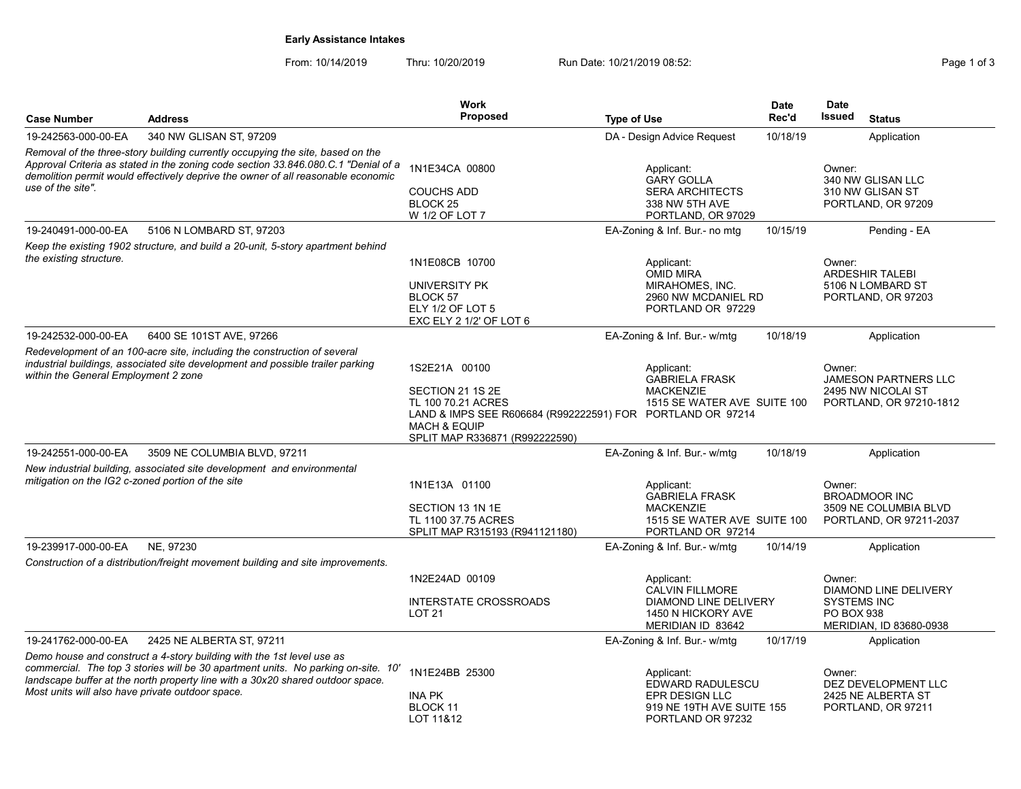# Early Assistance Intakes

| <b>Case Number</b>                                | <b>Address</b>                                                                                                                                                                                                                                           | Work<br>Proposed                                                                                                                                                                   | <b>Type of Use</b>                                                                                          | <b>Date</b><br>Rec'd | <b>Date</b><br><b>Issued</b><br><b>Status</b>                                      |
|---------------------------------------------------|----------------------------------------------------------------------------------------------------------------------------------------------------------------------------------------------------------------------------------------------------------|------------------------------------------------------------------------------------------------------------------------------------------------------------------------------------|-------------------------------------------------------------------------------------------------------------|----------------------|------------------------------------------------------------------------------------|
| 19-242563-000-00-EA                               | 340 NW GLISAN ST, 97209                                                                                                                                                                                                                                  |                                                                                                                                                                                    | DA - Design Advice Request                                                                                  | 10/18/19             | Application                                                                        |
| use of the site".                                 | Removal of the three-story building currently occupying the site, based on the<br>Approval Criteria as stated in the zoning code section 33.846.080 C.1 "Denial of a<br>demolition permit would effectively deprive the owner of all reasonable economic | 1N1E34CA 00800<br><b>COUCHS ADD</b><br>BLOCK <sub>25</sub><br>W 1/2 OF LOT 7                                                                                                       | Applicant:<br><b>GARY GOLLA</b><br><b>SERA ARCHITECTS</b><br>338 NW 5TH AVE<br>PORTLAND, OR 97029           |                      | Owner:<br>340 NW GLISAN LLC<br>310 NW GLISAN ST<br>PORTLAND, OR 97209              |
| 19-240491-000-00-EA                               | 5106 N LOMBARD ST, 97203                                                                                                                                                                                                                                 |                                                                                                                                                                                    | EA-Zoning & Inf. Bur.- no mtg                                                                               | 10/15/19             | Pending - EA                                                                       |
| the existing structure.                           | Keep the existing 1902 structure, and build a 20-unit, 5-story apartment behind                                                                                                                                                                          | 1N1E08CB 10700<br>UNIVERSITY PK<br>BLOCK 57<br>ELY 1/2 OF LOT 5<br>EXC ELY 2 1/2' OF LOT 6                                                                                         | Applicant:<br>OMID MIRA<br>MIRAHOMES, INC.<br>2960 NW MCDANIEL RD<br>PORTLAND OR 97229                      |                      | Owner:<br><b>ARDESHIR TALEBI</b><br>5106 N LOMBARD ST<br>PORTLAND, OR 97203        |
| 19-242532-000-00-EA                               | 6400 SE 101ST AVE, 97266                                                                                                                                                                                                                                 |                                                                                                                                                                                    | EA-Zoning & Inf. Bur.- w/mtg                                                                                | 10/18/19             | Application                                                                        |
| within the General Employment 2 zone              | Redevelopment of an 100-acre site, including the construction of several<br>industrial buildings, associated site development and possible trailer parking                                                                                               | 1S2E21A 00100<br>SECTION 21 1S 2E<br>TL 100 70.21 ACRES<br>LAND & IMPS SEE R606684 (R992222591) FOR PORTLAND OR 97214<br><b>MACH &amp; EQUIP</b><br>SPLIT MAP R336871 (R992222590) | Applicant:<br><b>GABRIELA FRASK</b><br><b>MACKENZIE</b><br>1515 SE WATER AVE SUITE 100                      |                      | Owner:<br>JAMESON PARTNERS LLC<br>2495 NW NICOLAI ST<br>PORTLAND, OR 97210-1812    |
| 19-242551-000-00-EA                               | 3509 NE COLUMBIA BLVD, 97211                                                                                                                                                                                                                             |                                                                                                                                                                                    | EA-Zoning & Inf. Bur.- w/mtg                                                                                | 10/18/19             | Application                                                                        |
| mitigation on the IG2 c-zoned portion of the site | New industrial building, associated site development and environmental                                                                                                                                                                                   | 1N1E13A 01100<br>SECTION 13 1N 1E<br>TL 1100 37.75 ACRES<br>SPLIT MAP R315193 (R941121180)                                                                                         | Applicant:<br><b>GABRIELA FRASK</b><br><b>MACKENZIE</b><br>1515 SE WATER AVE SUITE 100<br>PORTLAND OR 97214 |                      | Owner:<br><b>BROADMOOR INC</b><br>3509 NE COLUMBIA BLVD<br>PORTLAND, OR 97211-2037 |
| 19-239917-000-00-EA                               | NE. 97230                                                                                                                                                                                                                                                |                                                                                                                                                                                    | EA-Zoning & Inf. Bur.- w/mtg                                                                                | 10/14/19             | Application                                                                        |
|                                                   | Construction of a distribution/freight movement building and site improvements.                                                                                                                                                                          | 1N2E24AD 00109<br><b>INTERSTATE CROSSROADS</b><br><b>LOT 21</b>                                                                                                                    | Applicant:<br><b>CALVIN FILLMORE</b><br>DIAMOND LINE DELIVERY<br>1450 N HICKORY AVE<br>MERIDIAN ID 83642    |                      | Owner:<br><b>DIAMOND LINE DELIVERY</b><br><b>SYSTEMS INC</b><br><b>PO BOX 938</b>  |
| 19-241762-000-00-EA                               | 2425 NE ALBERTA ST. 97211                                                                                                                                                                                                                                |                                                                                                                                                                                    | EA-Zoning & Inf. Bur.- w/mtg                                                                                | 10/17/19             | MERIDIAN, ID 83680-0938<br>Application                                             |
| Most units will also have private outdoor space.  | Demo house and construct a 4-story building with the 1st level use as<br>commercial. The top 3 stories will be 30 apartment units. No parking on-site. 10'<br>landscape buffer at the north property line with a 30x20 shared outdoor space.             | 1N1E24BB 25300<br><b>INA PK</b><br>BLOCK 11<br>LOT 11&12                                                                                                                           | Applicant:<br>EDWARD RADULESCU<br>EPR DESIGN LLC<br>919 NE 19TH AVE SUITE 155<br>PORTLAND OR 97232          |                      | Owner:<br>DEZ DEVELOPMENT LLC<br>2425 NE ALBERTA ST<br>PORTLAND, OR 97211          |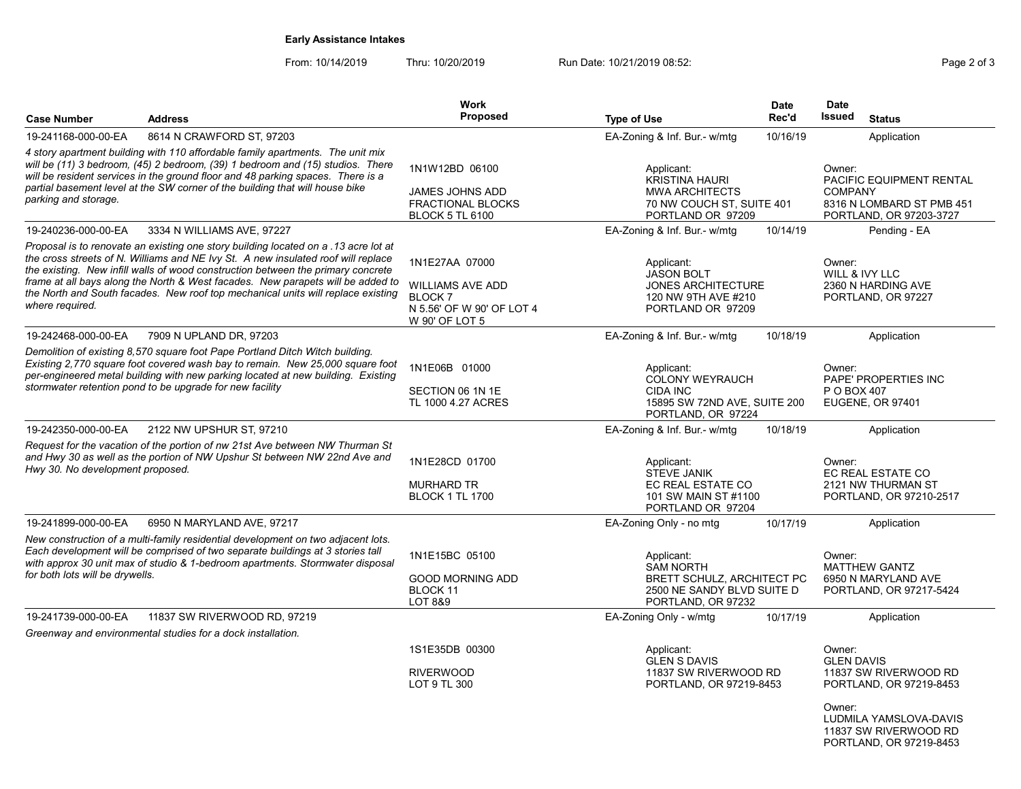# Early Assistance Intakes

| <b>Case Number</b>                                                                                                                                                                                                                                                                                                                                                                                                                                     | <b>Address</b>                                                                                                                                                                                                                                                                                                | <b>Work</b><br><b>Proposed</b>                                                                            | <b>Type of Use</b>                                                                                                      | <b>Date</b><br>Rec'd | <b>Date</b><br>Issued<br><b>Status</b>                                                                       |  |
|--------------------------------------------------------------------------------------------------------------------------------------------------------------------------------------------------------------------------------------------------------------------------------------------------------------------------------------------------------------------------------------------------------------------------------------------------------|---------------------------------------------------------------------------------------------------------------------------------------------------------------------------------------------------------------------------------------------------------------------------------------------------------------|-----------------------------------------------------------------------------------------------------------|-------------------------------------------------------------------------------------------------------------------------|----------------------|--------------------------------------------------------------------------------------------------------------|--|
| 19-241168-000-00-EA                                                                                                                                                                                                                                                                                                                                                                                                                                    | 8614 N CRAWFORD ST, 97203                                                                                                                                                                                                                                                                                     |                                                                                                           | EA-Zoning & Inf. Bur.- w/mtg                                                                                            | 10/16/19             | Application                                                                                                  |  |
| 4 story apartment building with 110 affordable family apartments. The unit mix<br>will be (11) 3 bedroom, (45) 2 bedroom, (39) 1 bedroom and (15) studios. There<br>will be resident services in the ground floor and 48 parking spaces. There is a<br>partial basement level at the SW corner of the building that will house bike<br>parking and storage.                                                                                            |                                                                                                                                                                                                                                                                                                               | 1N1W12BD 06100<br>JAMES JOHNS ADD<br><b>FRACTIONAL BLOCKS</b><br><b>BLOCK 5 TL 6100</b>                   | Applicant:<br><b>KRISTINA HAURI</b><br><b>MWA ARCHITECTS</b><br>70 NW COUCH ST, SUITE 401<br>PORTLAND OR 97209          |                      | Owner:<br>PACIFIC EQUIPMENT RENTAL<br><b>COMPANY</b><br>8316 N LOMBARD ST PMB 451<br>PORTLAND, OR 97203-3727 |  |
| 19-240236-000-00-EA                                                                                                                                                                                                                                                                                                                                                                                                                                    | 3334 N WILLIAMS AVE, 97227                                                                                                                                                                                                                                                                                    |                                                                                                           | EA-Zoning & Inf. Bur.- w/mtg                                                                                            | 10/14/19             | Pending - EA                                                                                                 |  |
| Proposal is to renovate an existing one story building located on a .13 acre lot at<br>the cross streets of N. Williams and NE Ivy St. A new insulated roof will replace<br>the existing. New infill walls of wood construction between the primary concrete<br>frame at all bays along the North & West facades. New parapets will be added to<br>the North and South facades. New roof top mechanical units will replace existing<br>where required. |                                                                                                                                                                                                                                                                                                               | 1N1E27AA 07000<br><b>WILLIAMS AVE ADD</b><br><b>BLOCK7</b><br>N 5.56' OF W 90' OF LOT 4<br>W 90' OF LOT 5 | Applicant:<br><b>JASON BOLT</b><br><b>JONES ARCHITECTURE</b><br>120 NW 9TH AVE #210<br>PORTLAND OR 97209                |                      | Owner:<br>WILL & IVY LLC<br>2360 N HARDING AVE<br>PORTLAND, OR 97227                                         |  |
| 19-242468-000-00-EA                                                                                                                                                                                                                                                                                                                                                                                                                                    | 7909 N UPLAND DR, 97203                                                                                                                                                                                                                                                                                       |                                                                                                           | EA-Zoning & Inf. Bur.- w/mtg                                                                                            | 10/18/19             | Application                                                                                                  |  |
|                                                                                                                                                                                                                                                                                                                                                                                                                                                        | Demolition of existing 8,570 square foot Pape Portland Ditch Witch building.<br>Existing 2,770 square foot covered wash bay to remain. New 25,000 square foot<br>per-engineered metal building with new parking located at new building. Existing<br>stormwater retention pond to be upgrade for new facility | 1N1E06B 01000<br>SECTION 06 1N 1E<br>TL 1000 4.27 ACRES                                                   | Applicant:<br><b>COLONY WEYRAUCH</b><br><b>CIDA INC</b><br>15895 SW 72ND AVE, SUITE 200<br>PORTLAND, OR 97224           |                      | Owner:<br>PAPE' PROPERTIES INC<br>P O BOX 407<br><b>EUGENE, OR 97401</b>                                     |  |
| 19-242350-000-00-EA                                                                                                                                                                                                                                                                                                                                                                                                                                    | 2122 NW UPSHUR ST, 97210                                                                                                                                                                                                                                                                                      |                                                                                                           | EA-Zoning & Inf. Bur.- w/mtg                                                                                            | 10/18/19             | Application                                                                                                  |  |
| Request for the vacation of the portion of nw 21st Ave between NW Thurman St<br>and Hwy 30 as well as the portion of NW Upshur St between NW 22nd Ave and<br>Hwy 30. No development proposed.                                                                                                                                                                                                                                                          |                                                                                                                                                                                                                                                                                                               | 1N1E28CD 01700<br><b>MURHARD TR</b><br><b>BLOCK 1 TL 1700</b>                                             | Applicant:<br><b>STEVE JANIK</b><br>EC REAL ESTATE CO<br>101 SW MAIN ST #1100<br>PORTLAND OR 97204                      |                      | Owner:<br>EC REAL ESTATE CO<br>2121 NW THURMAN ST<br>PORTLAND, OR 97210-2517                                 |  |
| 19-241899-000-00-EA                                                                                                                                                                                                                                                                                                                                                                                                                                    | 6950 N MARYLAND AVE, 97217                                                                                                                                                                                                                                                                                    |                                                                                                           | EA-Zoning Only - no mtg                                                                                                 | 10/17/19             | Application                                                                                                  |  |
| for both lots will be drywells.                                                                                                                                                                                                                                                                                                                                                                                                                        | New construction of a multi-family residential development on two adjacent lots.<br>Each development will be comprised of two separate buildings at 3 stories tall<br>with approx 30 unit max of studio & 1-bedroom apartments. Stormwater disposal                                                           | 1N1E15BC 05100<br><b>GOOD MORNING ADD</b><br><b>BLOCK 11</b><br>LOT 8&9                                   | Applicant:<br><b>SAM NORTH</b><br><b>BRETT SCHULZ, ARCHITECT PC</b><br>2500 NE SANDY BLVD SUITE D<br>PORTLAND, OR 97232 |                      | Owner:<br><b>MATTHEW GANTZ</b><br>6950 N MARYLAND AVE<br>PORTLAND, OR 97217-5424                             |  |
| 19-241739-000-00-EA                                                                                                                                                                                                                                                                                                                                                                                                                                    | 11837 SW RIVERWOOD RD, 97219                                                                                                                                                                                                                                                                                  |                                                                                                           | EA-Zoning Only - w/mtg                                                                                                  | 10/17/19             | Application                                                                                                  |  |
|                                                                                                                                                                                                                                                                                                                                                                                                                                                        | Greenway and environmental studies for a dock installation.                                                                                                                                                                                                                                                   |                                                                                                           |                                                                                                                         |                      |                                                                                                              |  |
|                                                                                                                                                                                                                                                                                                                                                                                                                                                        |                                                                                                                                                                                                                                                                                                               | 1S1E35DB 00300<br><b>RIVERWOOD</b><br>LOT 9 TL 300                                                        | Applicant:<br><b>GLEN S DAVIS</b><br>11837 SW RIVERWOOD RD<br>PORTLAND, OR 97219-8453                                   |                      | Owner:<br><b>GLEN DAVIS</b><br>11837 SW RIVERWOOD RD<br>PORTLAND, OR 97219-8453                              |  |
|                                                                                                                                                                                                                                                                                                                                                                                                                                                        |                                                                                                                                                                                                                                                                                                               |                                                                                                           |                                                                                                                         |                      | Owner:<br>LUDMILA YAMSLOVA-DAVIS<br>11837 SW RIVERWOOD RD<br>PORTLAND, OR 97219-8453                         |  |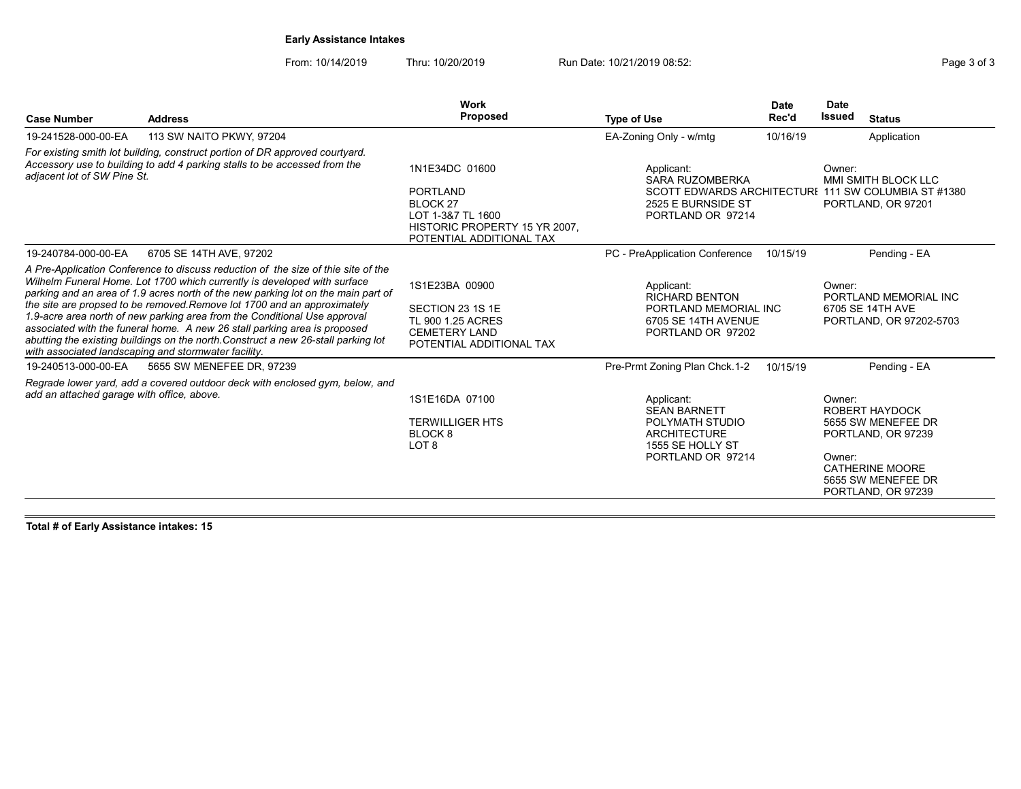# Early Assistance Intakes

From: 10/14/2019 Thru: 10/20/2019 Run Date: 10/21/2019 08:52:<br>
Run Date: 10/21/2019 08:52:

|                                            |                                                                                                                                                                                                                                                                                                                                                                                                                                                                                                                                                                                                                                       | Work                                                                                                                                   |                                                                                                                                        | <b>Date</b> | <b>Date</b>                  |                                                                                                                                         |
|--------------------------------------------|---------------------------------------------------------------------------------------------------------------------------------------------------------------------------------------------------------------------------------------------------------------------------------------------------------------------------------------------------------------------------------------------------------------------------------------------------------------------------------------------------------------------------------------------------------------------------------------------------------------------------------------|----------------------------------------------------------------------------------------------------------------------------------------|----------------------------------------------------------------------------------------------------------------------------------------|-------------|------------------------------|-----------------------------------------------------------------------------------------------------------------------------------------|
| <b>Case Number</b>                         | <b>Address</b>                                                                                                                                                                                                                                                                                                                                                                                                                                                                                                                                                                                                                        | <b>Proposed</b>                                                                                                                        | <b>Type of Use</b>                                                                                                                     | Rec'd       | <b>Issued</b>                | <b>Status</b>                                                                                                                           |
| 19-241528-000-00-EA                        | 113 SW NAITO PKWY, 97204                                                                                                                                                                                                                                                                                                                                                                                                                                                                                                                                                                                                              |                                                                                                                                        | EA-Zoning Only - w/mtg                                                                                                                 | 10/16/19    |                              | Application                                                                                                                             |
| adjacent lot of SW Pine St.                | For existing smith lot building, construct portion of DR approved courtyard.<br>Accessory use to building to add 4 parking stalls to be accessed from the                                                                                                                                                                                                                                                                                                                                                                                                                                                                             | 1N1E34DC 01600<br><b>PORTLAND</b><br><b>BLOCK 27</b><br>LOT 1-3&7 TL 1600<br>HISTORIC PROPERTY 15 YR 2007.<br>POTENTIAL ADDITIONAL TAX | Applicant:<br><b>SARA RUZOMBERKA</b><br>SCOTT EDWARDS ARCHITECTURI 111 SW COLUMBIA ST #1380<br>2525 E BURNSIDE ST<br>PORTLAND OR 97214 |             | Owner:                       | MMI SMITH BLOCK LLC<br>PORTLAND, OR 97201                                                                                               |
| 19-240784-000-00-EA                        | 6705 SE 14TH AVE, 97202                                                                                                                                                                                                                                                                                                                                                                                                                                                                                                                                                                                                               |                                                                                                                                        | PC - PreApplication Conference                                                                                                         | 10/15/19    |                              | Pending - EA                                                                                                                            |
|                                            | A Pre-Application Conference to discuss reduction of the size of thie site of the<br>Wilhelm Funeral Home. Lot 1700 which currently is developed with surface<br>parking and an area of 1.9 acres north of the new parking lot on the main part of<br>the site are propsed to be removed. Remove lot 1700 and an approximately<br>1.9-acre area north of new parking area from the Conditional Use approval<br>associated with the funeral home. A new 26 stall parking area is proposed<br>abutting the existing buildings on the north Construct a new 26-stall parking lot<br>with associated landscaping and stormwater facility. | 1S1E23BA 00900<br>SECTION 23 1S 1E<br>TL 900 1.25 ACRES<br><b>CEMETERY LAND</b><br>POTENTIAL ADDITIONAL TAX                            | Applicant:<br><b>RICHARD BENTON</b><br>PORTLAND MEMORIAL INC<br>6705 SE 14TH AVENUE<br>PORTLAND OR 97202                               |             | Owner:                       | PORTLAND MEMORIAL INC<br>6705 SE 14TH AVE<br>PORTLAND, OR 97202-5703                                                                    |
| 19-240513-000-00-EA                        | 5655 SW MENEFEE DR, 97239                                                                                                                                                                                                                                                                                                                                                                                                                                                                                                                                                                                                             |                                                                                                                                        | Pre-Prmt Zoning Plan Chck.1-2                                                                                                          | 10/15/19    |                              | Pending - EA                                                                                                                            |
| add an attached garage with office, above. | Regrade lower yard, add a covered outdoor deck with enclosed gym, below, and                                                                                                                                                                                                                                                                                                                                                                                                                                                                                                                                                          | 1S1E16DA 07100<br><b>TERWILLIGER HTS</b><br>BLOCK <sub>8</sub><br>LOT <sub>8</sub>                                                     | Applicant:<br><b>SEAN BARNETT</b><br>POLYMATH STUDIO<br><b>ARCHITECTURE</b><br>1555 SE HOLLY ST<br>PORTLAND OR 97214                   |             | Owner <sup>-</sup><br>Owner: | <b>ROBERT HAYDOCK</b><br>5655 SW MENEFEE DR<br>PORTLAND, OR 97239<br><b>CATHERINE MOORE</b><br>5655 SW MENEFEE DR<br>PORTLAND, OR 97239 |

Total # of Early Assistance intakes: 15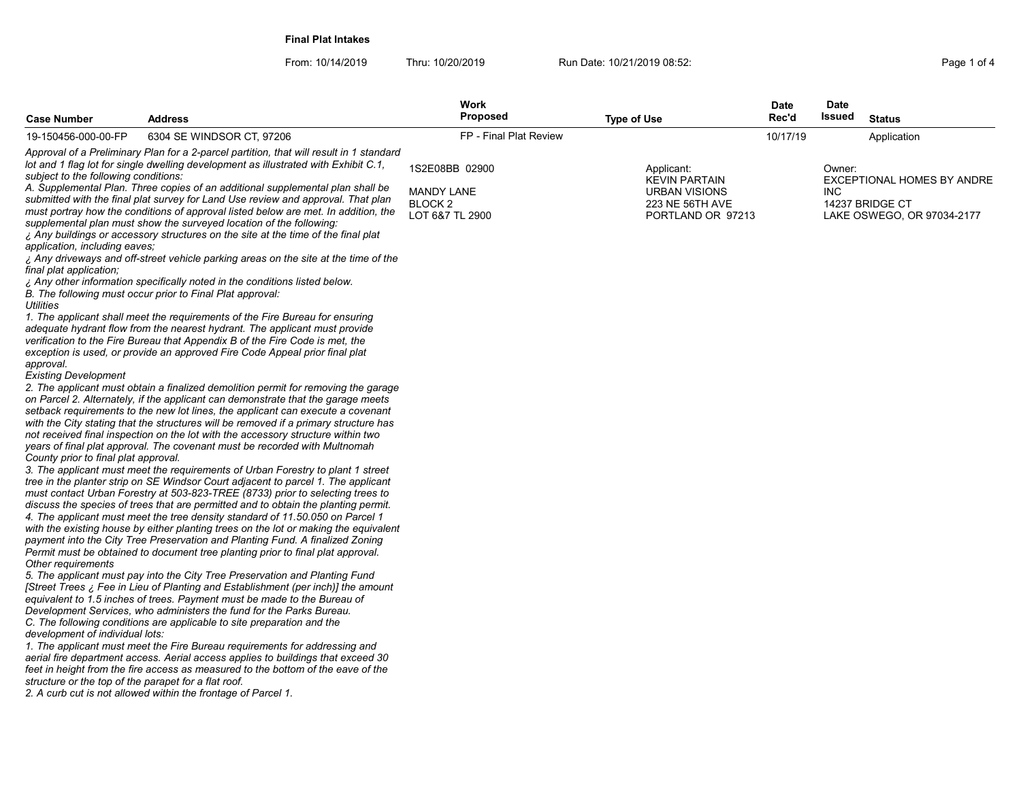Final Plat Intakes

| FP - Final Plat Review<br>19-150456-000-00-FP<br>6304 SE WINDSOR CT, 97206<br>10/17/19<br>Application<br>Approval of a Preliminary Plan for a 2-parcel partition, that will result in 1 standard<br>lot and 1 flag lot for single dwelling development as illustrated with Exhibit C.1,<br>1S2E08BB 02900<br>Applicant:<br>Owner:<br>subject to the following conditions:<br><b>KEVIN PARTAIN</b><br>EXCEPTIONAL HOMES BY ANDRE<br>A. Supplemental Plan. Three copies of an additional supplemental plan shall be<br><b>MANDY LANE</b><br>URBAN VISIONS<br>INC.<br>submitted with the final plat survey for Land Use review and approval. That plan<br>BLOCK <sub>2</sub><br>14237 BRIDGE CT<br>223 NE 56TH AVE<br>must portray how the conditions of approval listed below are met. In addition, the<br>LOT 6&7 TL 2900<br>PORTLAND OR 97213<br>LAKE OSWEGO, OR 97034-2177<br>supplemental plan must show the surveyed location of the following:<br>¿ Any buildings or accessory structures on the site at the time of the final plat<br>application, including eaves;<br>i Any driveways and off-street vehicle parking areas on the site at the time of the<br>final plat application;<br>. Any other information specifically noted in the conditions listed below.<br>B. The following must occur prior to Final Plat approval:<br><b>Utilities</b><br>1. The applicant shall meet the requirements of the Fire Bureau for ensuring<br>adequate hydrant flow from the nearest hydrant. The applicant must provide<br>verification to the Fire Bureau that Appendix B of the Fire Code is met, the<br>exception is used, or provide an approved Fire Code Appeal prior final plat<br>approval.<br><b>Existing Development</b><br>2. The applicant must obtain a finalized demolition permit for removing the garage<br>on Parcel 2. Alternately, if the applicant can demonstrate that the garage meets<br>setback requirements to the new lot lines, the applicant can execute a covenant<br>with the City stating that the structures will be removed if a primary structure has<br>not received final inspection on the lot with the accessory structure within two<br>years of final plat approval. The covenant must be recorded with Multnomah<br>County prior to final plat approval.<br>3. The applicant must meet the requirements of Urban Forestry to plant 1 street<br>tree in the planter strip on SE Windsor Court adjacent to parcel 1. The applicant<br>must contact Urban Forestry at 503-823-TREE (8733) prior to selecting trees to<br>discuss the species of trees that are permitted and to obtain the planting permit.<br>4. The applicant must meet the tree density standard of 11.50.050 on Parcel 1<br>with the existing house by either planting trees on the lot or making the equivalent<br>payment into the City Tree Preservation and Planting Fund. A finalized Zoning<br>Permit must be obtained to document tree planting prior to final plat approval.<br>Other requirements<br>5. The applicant must pay into the City Tree Preservation and Planting Fund<br>[Street Trees ; Fee in Lieu of Planting and Establishment (per inch)] the amount<br>equivalent to 1.5 inches of trees. Payment must be made to the Bureau of<br>Development Services, who administers the fund for the Parks Bureau.<br>C. The following conditions are applicable to site preparation and the<br>development of individual lots:<br>1. The applicant must meet the Fire Bureau requirements for addressing and<br>aerial fire department access. Aerial access applies to buildings that exceed 30 |
|----------------------------------------------------------------------------------------------------------------------------------------------------------------------------------------------------------------------------------------------------------------------------------------------------------------------------------------------------------------------------------------------------------------------------------------------------------------------------------------------------------------------------------------------------------------------------------------------------------------------------------------------------------------------------------------------------------------------------------------------------------------------------------------------------------------------------------------------------------------------------------------------------------------------------------------------------------------------------------------------------------------------------------------------------------------------------------------------------------------------------------------------------------------------------------------------------------------------------------------------------------------------------------------------------------------------------------------------------------------------------------------------------------------------------------------------------------------------------------------------------------------------------------------------------------------------------------------------------------------------------------------------------------------------------------------------------------------------------------------------------------------------------------------------------------------------------------------------------------------------------------------------------------------------------------------------------------------------------------------------------------------------------------------------------------------------------------------------------------------------------------------------------------------------------------------------------------------------------------------------------------------------------------------------------------------------------------------------------------------------------------------------------------------------------------------------------------------------------------------------------------------------------------------------------------------------------------------------------------------------------------------------------------------------------------------------------------------------------------------------------------------------------------------------------------------------------------------------------------------------------------------------------------------------------------------------------------------------------------------------------------------------------------------------------------------------------------------------------------------------------------------------------------------------------------------------------------------------------------------------------------------------------------------------------------------------------------------------------------------------------------------------------------------------------------------------------------------------------------------------------------------------------------------------------------------------------------------------------------------------------|
|                                                                                                                                                                                                                                                                                                                                                                                                                                                                                                                                                                                                                                                                                                                                                                                                                                                                                                                                                                                                                                                                                                                                                                                                                                                                                                                                                                                                                                                                                                                                                                                                                                                                                                                                                                                                                                                                                                                                                                                                                                                                                                                                                                                                                                                                                                                                                                                                                                                                                                                                                                                                                                                                                                                                                                                                                                                                                                                                                                                                                                                                                                                                                                                                                                                                                                                                                                                                                                                                                                                                                                                                                            |
| feet in height from the fire access as measured to the bottom of the eave of the                                                                                                                                                                                                                                                                                                                                                                                                                                                                                                                                                                                                                                                                                                                                                                                                                                                                                                                                                                                                                                                                                                                                                                                                                                                                                                                                                                                                                                                                                                                                                                                                                                                                                                                                                                                                                                                                                                                                                                                                                                                                                                                                                                                                                                                                                                                                                                                                                                                                                                                                                                                                                                                                                                                                                                                                                                                                                                                                                                                                                                                                                                                                                                                                                                                                                                                                                                                                                                                                                                                                           |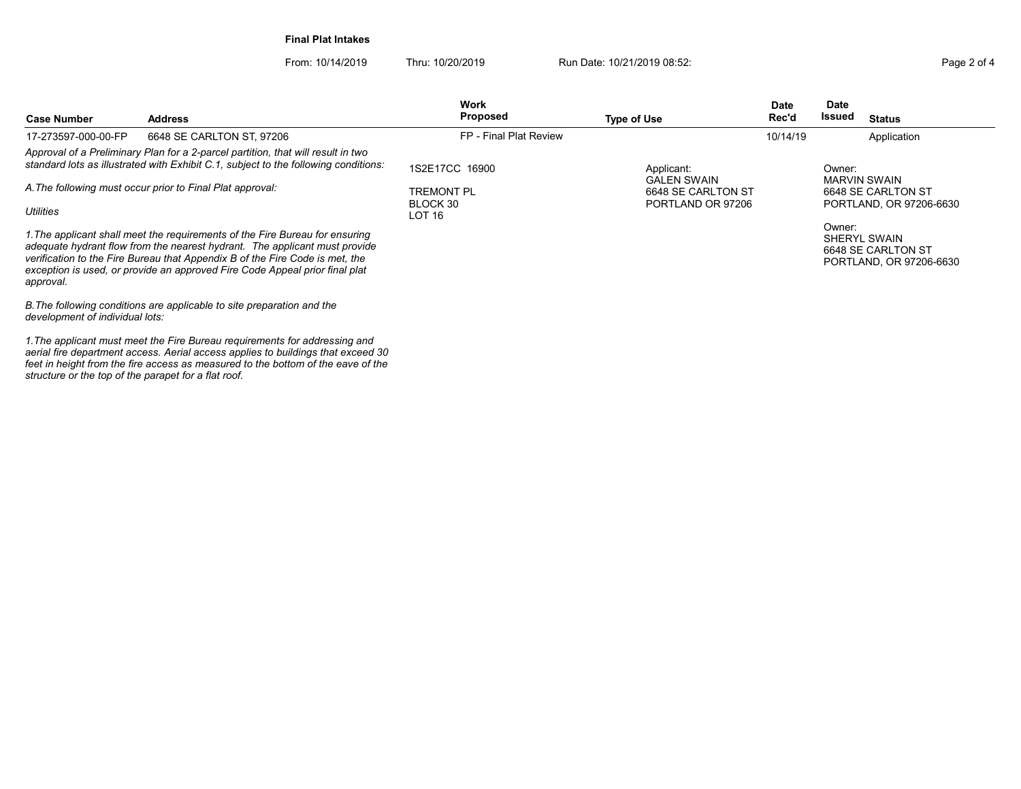Final Plat Intakes

From: 10/14/2019 Thru: 10/20/2019 Run Date: 10/21/2019 08:52:<br>
Page 2 of 4

| <b>Case Number</b>                                        | <b>Address</b>                                                                                                                                                                                                                                                                                                            | <b>Work</b><br><b>Proposed</b> | Type of Use                             | <b>Date</b><br><b>Rec'd</b> | <b>Date</b><br>Issued                         | Status                                                        |
|-----------------------------------------------------------|---------------------------------------------------------------------------------------------------------------------------------------------------------------------------------------------------------------------------------------------------------------------------------------------------------------------------|--------------------------------|-----------------------------------------|-----------------------------|-----------------------------------------------|---------------------------------------------------------------|
| 17-273597-000-00-FP                                       | 6648 SE CARLTON ST, 97206                                                                                                                                                                                                                                                                                                 | FP - Final Plat Review         |                                         | 10/14/19                    |                                               | Application                                                   |
|                                                           | Approval of a Preliminary Plan for a 2-parcel partition, that will result in two<br>standard lots as illustrated with Exhibit C.1, subject to the following conditions:                                                                                                                                                   | 1S2E17CC 16900                 | Applicant:<br><b>GALEN SWAIN</b>        |                             | Owner:<br>MARVIN SWAIN                        |                                                               |
| A. The following must occur prior to Final Plat approval: |                                                                                                                                                                                                                                                                                                                           | TREMONT PL<br>BLOCK 30         | 6648 SE CARLTON ST<br>PORTLAND OR 97206 |                             | 6648 SE CARLTON ST<br>PORTLAND, OR 97206-6630 |                                                               |
| <b>Utilities</b>                                          |                                                                                                                                                                                                                                                                                                                           | LOT <sub>16</sub>              |                                         |                             |                                               |                                                               |
| approval.                                                 | 1. The applicant shall meet the requirements of the Fire Bureau for ensuring<br>adequate hydrant flow from the nearest hydrant. The applicant must provide<br>verification to the Fire Bureau that Appendix B of the Fire Code is met, the<br>exception is used, or provide an approved Fire Code Appeal prior final plat |                                |                                         |                             | Owner:                                        | SHERYL SWAIN<br>6648 SE CARLTON ST<br>PORTLAND, OR 97206-6630 |
| development of individual lots:                           | B. The following conditions are applicable to site preparation and the                                                                                                                                                                                                                                                    |                                |                                         |                             |                                               |                                                               |

1.The applicant must meet the Fire Bureau requirements for addressing and aerial fire department access. Aerial access applies to buildings that exceed 30 feet in height from the fire access as measured to the bottom of the eave of the structure or the top of the parapet for a flat roof.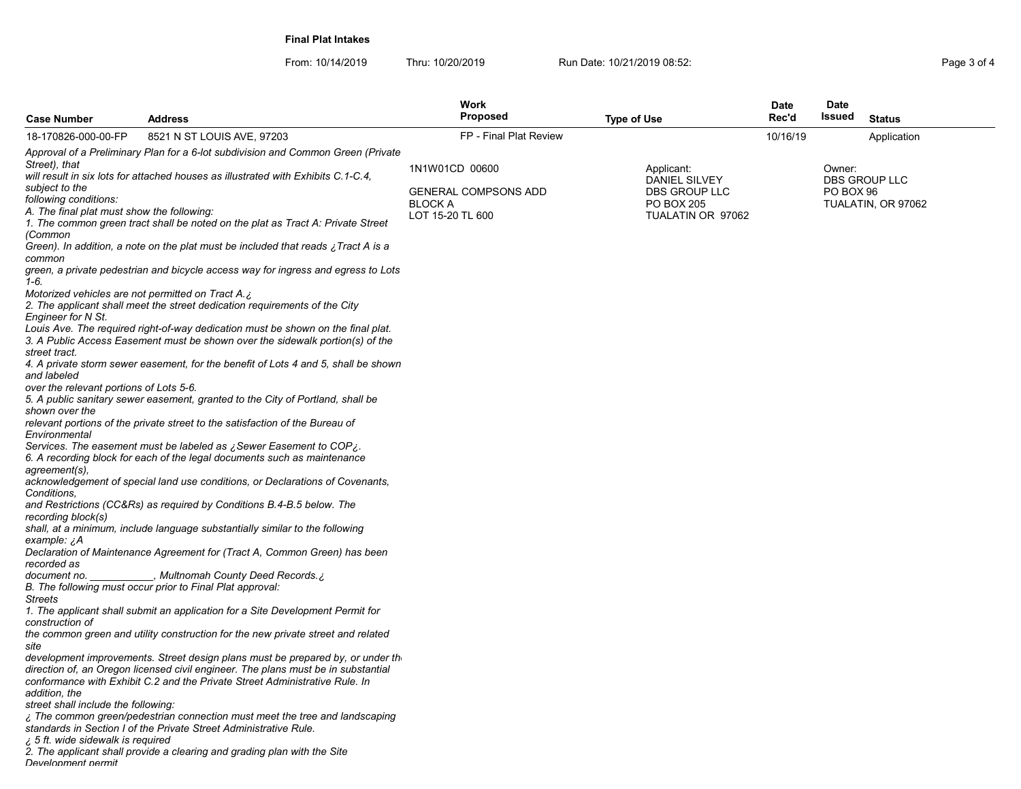Final Plat Intakes

| Page 3 of 4 |  |  |
|-------------|--|--|
|             |  |  |

|                                                                                                        |                                                                                                                                                                                                                                                    | Work<br><b>Proposed</b>                                         |                                                                   | <b>Date</b><br>Rec'd | <b>Date</b><br>Issued |                                     |
|--------------------------------------------------------------------------------------------------------|----------------------------------------------------------------------------------------------------------------------------------------------------------------------------------------------------------------------------------------------------|-----------------------------------------------------------------|-------------------------------------------------------------------|----------------------|-----------------------|-------------------------------------|
| <b>Case Number</b><br>18-170826-000-00-FP                                                              | <b>Address</b>                                                                                                                                                                                                                                     | FP - Final Plat Review                                          | <b>Type of Use</b>                                                |                      |                       | <b>Status</b>                       |
|                                                                                                        | 8521 N ST LOUIS AVE, 97203                                                                                                                                                                                                                         |                                                                 |                                                                   | 10/16/19             |                       | Application                         |
| Street), that<br>subject to the<br>following conditions:<br>A. The final plat must show the following: | Approval of a Preliminary Plan for a 6-lot subdivision and Common Green (Private<br>will result in six lots for attached houses as illustrated with Exhibits C.1-C.4,                                                                              | 1N1W01CD 00600<br><b>GENERAL COMPSONS ADD</b><br><b>BLOCK A</b> | Applicant:<br>DANIEL SILVEY<br>DBS GROUP LLC<br><b>PO BOX 205</b> |                      | Owner:<br>PO BOX 96   | DBS GROUP LLC<br>TUALATIN, OR 97062 |
| (Common                                                                                                | 1. The common green tract shall be noted on the plat as Tract A: Private Street                                                                                                                                                                    | LOT 15-20 TL 600                                                | TUALATIN OR 97062                                                 |                      |                       |                                     |
| common                                                                                                 | Green). In addition, a note on the plat must be included that reads $\chi$ Tract A is a                                                                                                                                                            |                                                                 |                                                                   |                      |                       |                                     |
| 1-6.                                                                                                   | green, a private pedestrian and bicycle access way for ingress and egress to Lots                                                                                                                                                                  |                                                                 |                                                                   |                      |                       |                                     |
| Engineer for N St.                                                                                     | Motorized vehicles are not permitted on Tract A.¿<br>2. The applicant shall meet the street dedication requirements of the City                                                                                                                    |                                                                 |                                                                   |                      |                       |                                     |
| street tract.                                                                                          | Louis Ave. The required right-of-way dedication must be shown on the final plat.<br>3. A Public Access Easement must be shown over the sidewalk portion(s) of the                                                                                  |                                                                 |                                                                   |                      |                       |                                     |
| and labeled                                                                                            | 4. A private storm sewer easement, for the benefit of Lots 4 and 5, shall be shown                                                                                                                                                                 |                                                                 |                                                                   |                      |                       |                                     |
| over the relevant portions of Lots 5-6.<br>shown over the                                              | 5. A public sanitary sewer easement, granted to the City of Portland, shall be                                                                                                                                                                     |                                                                 |                                                                   |                      |                       |                                     |
| Environmental                                                                                          | relevant portions of the private street to the satisfaction of the Bureau of                                                                                                                                                                       |                                                                 |                                                                   |                      |                       |                                     |
| aqreement(s).                                                                                          | Services. The easement must be labeled as ¿Sewer Easement to COP¿.<br>6. A recording block for each of the legal documents such as maintenance                                                                                                     |                                                                 |                                                                   |                      |                       |                                     |
| Conditions.                                                                                            | acknowledgement of special land use conditions, or Declarations of Covenants,                                                                                                                                                                      |                                                                 |                                                                   |                      |                       |                                     |
| recording block(s)                                                                                     | and Restrictions (CC&Rs) as required by Conditions B.4-B.5 below. The                                                                                                                                                                              |                                                                 |                                                                   |                      |                       |                                     |
| example: ¿A                                                                                            | shall, at a minimum, include language substantially similar to the following<br>Declaration of Maintenance Agreement for (Tract A, Common Green) has been                                                                                          |                                                                 |                                                                   |                      |                       |                                     |
| recorded as<br>document no.                                                                            | ج, Multnomah County Deed Records.                                                                                                                                                                                                                  |                                                                 |                                                                   |                      |                       |                                     |
| Streets                                                                                                | B. The following must occur prior to Final Plat approval:                                                                                                                                                                                          |                                                                 |                                                                   |                      |                       |                                     |
| construction of                                                                                        | 1. The applicant shall submit an application for a Site Development Permit for                                                                                                                                                                     |                                                                 |                                                                   |                      |                       |                                     |
| site                                                                                                   | the common green and utility construction for the new private street and related                                                                                                                                                                   |                                                                 |                                                                   |                      |                       |                                     |
|                                                                                                        | development improvements. Street design plans must be prepared by, or under th<br>direction of, an Oregon licensed civil engineer. The plans must be in substantial<br>conformance with Exhibit C.2 and the Private Street Administrative Rule. In |                                                                 |                                                                   |                      |                       |                                     |
| addition, the                                                                                          |                                                                                                                                                                                                                                                    |                                                                 |                                                                   |                      |                       |                                     |
| street shall include the following:                                                                    | The common green/pedestrian connection must meet the tree and landscaping ز<br>standards in Section I of the Private Street Administrative Rule.                                                                                                   |                                                                 |                                                                   |                      |                       |                                     |
| ¿ 5 ft. wide sidewalk is required<br>Develonment nermit                                                | 2. The applicant shall provide a clearing and grading plan with the Site                                                                                                                                                                           |                                                                 |                                                                   |                      |                       |                                     |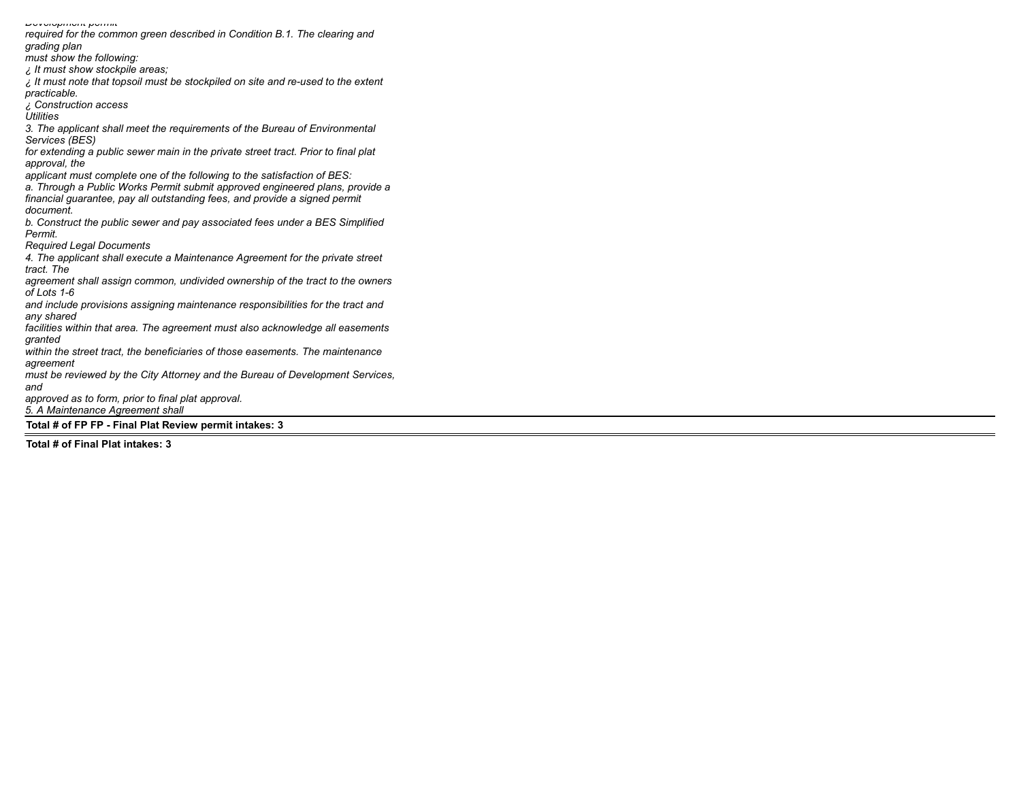Development permit required for the common green described in Condition B.1. The clearing and grading plan must show the following: ¿ It must show stockpile areas;  $\mu$  it must note that topsoil must be stockpiled on site and re-used to the extent practicable. ¿ Construction access **Utilities** 3. The applicant shall meet the requirements of the Bureau of Environmental Services (BES) for extending a public sewer main in the private street tract. Prior to final plat approval, the applicant must complete one of the following to the satisfaction of BES: a. Through a Public Works Permit submit approved engineered plans, provide a financial guarantee, pay all outstanding fees, and provide a signed permit document. b. Construct the public sewer and pay associated fees under a BES Simplified Permit. Required Legal Documents 4. The applicant shall execute a Maintenance Agreement for the private street tract. The agreement shall assign common, undivided ownership of the tract to the owners of Lots 1-6 and include provisions assigning maintenance responsibilities for the tract and any shared facilities within that area. The agreement must also acknowledge all easements granted within the street tract, the beneficiaries of those easements. The maintenance agreement must be reviewed by the City Attorney and the Bureau of Development Services, and approved as to form, prior to final plat approval. 5. A Maintenance Agreement shall Total # of FP FP - Final Plat Review permit intakes: 3

Total # of Final Plat intakes: 3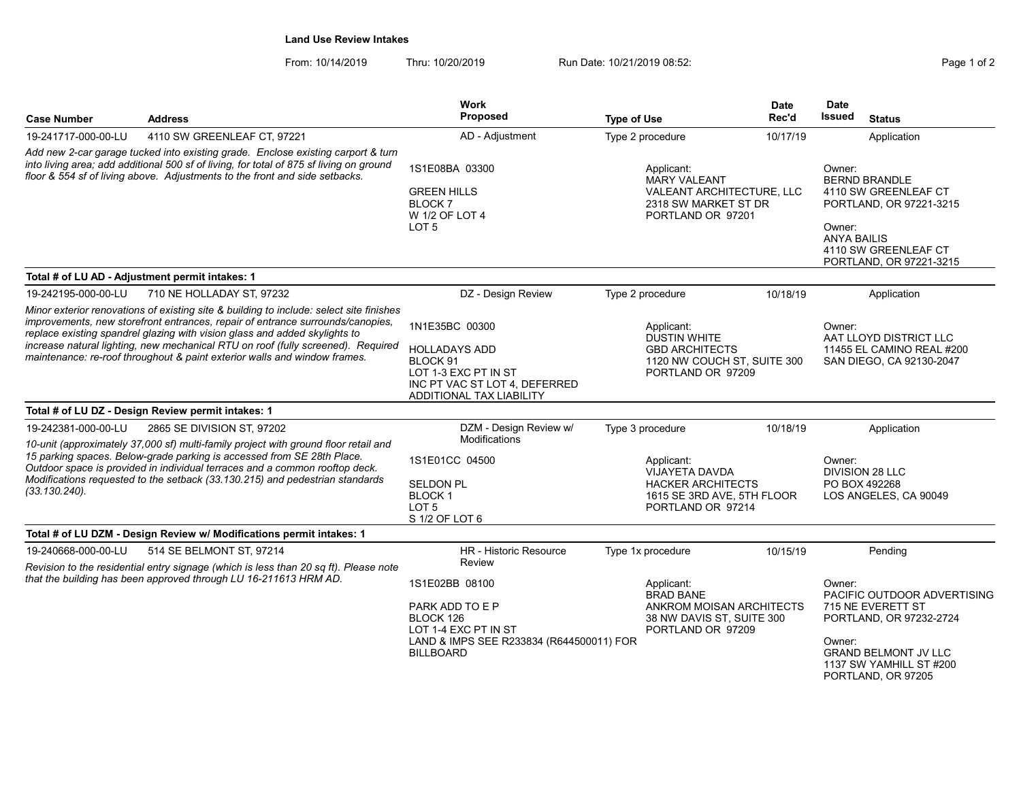### Land Use Review Intakes

From: 10/14/2019 Thru: 10/20/2019 Run Date: 10/21/2019 08:52:<br>
Run Date: 10/21/2019 08:52:

| <b>Case Number</b>                                                                                                                                                                                                                                         | <b>Address</b>                                                                                                                                                                                                                                                                                                                                                                                                           | <b>Work</b><br><b>Proposed</b>                                                                                                            | <b>Type of Use</b>                                                                                           | <b>Date</b><br>Rec'd                                                                                                                                                                              | <b>Date</b><br><b>Issued</b><br><b>Status</b>                                                                                                                                   |  |
|------------------------------------------------------------------------------------------------------------------------------------------------------------------------------------------------------------------------------------------------------------|--------------------------------------------------------------------------------------------------------------------------------------------------------------------------------------------------------------------------------------------------------------------------------------------------------------------------------------------------------------------------------------------------------------------------|-------------------------------------------------------------------------------------------------------------------------------------------|--------------------------------------------------------------------------------------------------------------|---------------------------------------------------------------------------------------------------------------------------------------------------------------------------------------------------|---------------------------------------------------------------------------------------------------------------------------------------------------------------------------------|--|
| 19-241717-000-00-LU                                                                                                                                                                                                                                        | 4110 SW GREENLEAF CT, 97221                                                                                                                                                                                                                                                                                                                                                                                              | AD - Adjustment                                                                                                                           | Type 2 procedure                                                                                             | 10/17/19                                                                                                                                                                                          | Application                                                                                                                                                                     |  |
| Add new 2-car garage tucked into existing grade. Enclose existing carport & turn<br>into living area; add additional 500 sf of living, for total of 875 sf living on ground<br>floor & 554 sf of living above. Adjustments to the front and side setbacks. |                                                                                                                                                                                                                                                                                                                                                                                                                          | 1S1E08BA 03300<br><b>GREEN HILLS</b><br>BLOCK 7<br>W 1/2 OF LOT 4<br>LOT <sub>5</sub>                                                     | Applicant:<br><b>MARY VALEANT</b><br>2318 SW MARKET ST DR<br>PORTLAND OR 97201                               | Owner:<br><b>BERND BRANDLE</b><br>VALEANT ARCHITECTURE, LLC<br>4110 SW GREENLEAF CT<br>PORTLAND, OR 97221-3215<br>Owner:<br><b>ANYA BAILIS</b><br>4110 SW GREENLEAF CT<br>PORTLAND, OR 97221-3215 |                                                                                                                                                                                 |  |
|                                                                                                                                                                                                                                                            | Total # of LU AD - Adjustment permit intakes: 1                                                                                                                                                                                                                                                                                                                                                                          |                                                                                                                                           |                                                                                                              |                                                                                                                                                                                                   |                                                                                                                                                                                 |  |
| 19-242195-000-00-LU                                                                                                                                                                                                                                        | 710 NE HOLLADAY ST. 97232                                                                                                                                                                                                                                                                                                                                                                                                | DZ - Design Review                                                                                                                        | Type 2 procedure                                                                                             | 10/18/19                                                                                                                                                                                          | Application                                                                                                                                                                     |  |
|                                                                                                                                                                                                                                                            | Minor exterior renovations of existing site & building to include: select site finishes<br>improvements, new storefront entrances, repair of entrance surrounds/canopies,<br>replace existing spandrel glazing with vision glass and added skylights to<br>increase natural lighting, new mechanical RTU on roof (fully screened). Required<br>maintenance: re-roof throughout & paint exterior walls and window frames. | 1N1E35BC 00300<br>HOLLADAYS ADD<br>BLOCK 91<br>LOT 1-3 EXC PT IN ST<br>INC PT VAC ST LOT 4, DEFERRED<br><b>ADDITIONAL TAX LIABILITY</b>   | Applicant:<br>DUSTIN WHITE<br><b>GBD ARCHITECTS</b><br>1120 NW COUCH ST. SUITE 300<br>PORTLAND OR 97209      |                                                                                                                                                                                                   | Owner:<br>AAT LLOYD DISTRICT LLC<br>11455 EL CAMINO REAL #200<br>SAN DIEGO, CA 92130-2047                                                                                       |  |
|                                                                                                                                                                                                                                                            | Total # of LU DZ - Design Review permit intakes: 1                                                                                                                                                                                                                                                                                                                                                                       |                                                                                                                                           |                                                                                                              |                                                                                                                                                                                                   |                                                                                                                                                                                 |  |
| 19-242381-000-00-LU                                                                                                                                                                                                                                        | 2865 SE DIVISION ST. 97202                                                                                                                                                                                                                                                                                                                                                                                               | DZM - Design Review w/<br>Modifications                                                                                                   | Type 3 procedure                                                                                             | 10/18/19                                                                                                                                                                                          | Application                                                                                                                                                                     |  |
| $(33.130.240)$ .                                                                                                                                                                                                                                           | 10-unit (approximately 37,000 sf) multi-family project with ground floor retail and<br>15 parking spaces. Below-grade parking is accessed from SE 28th Place.<br>Outdoor space is provided in individual terraces and a common rooftop deck.<br>Modifications requested to the setback (33.130.215) and pedestrian standards                                                                                             | 1S1E01CC 04500<br><b>SELDON PL</b><br><b>BLOCK1</b><br>LOT <sub>5</sub><br>S 1/2 OF LOT 6                                                 | Applicant:<br>VIJAYETA DAVDA<br><b>HACKER ARCHITECTS</b><br>1615 SE 3RD AVE, 5TH FLOOR<br>PORTLAND OR 97214  |                                                                                                                                                                                                   | Owner:<br>DIVISION 28 LLC<br>PO BOX 492268<br>LOS ANGELES, CA 90049                                                                                                             |  |
|                                                                                                                                                                                                                                                            | Total # of LU DZM - Design Review w/ Modifications permit intakes: 1                                                                                                                                                                                                                                                                                                                                                     |                                                                                                                                           |                                                                                                              |                                                                                                                                                                                                   |                                                                                                                                                                                 |  |
| 19-240668-000-00-LU                                                                                                                                                                                                                                        | 514 SE BELMONT ST, 97214                                                                                                                                                                                                                                                                                                                                                                                                 | <b>HR</b> - Historic Resource                                                                                                             | Type 1x procedure                                                                                            | 10/15/19                                                                                                                                                                                          | Pending                                                                                                                                                                         |  |
|                                                                                                                                                                                                                                                            | Revision to the residential entry signage (which is less than 20 sq ft). Please note<br>that the building has been approved through LU 16-211613 HRM AD.                                                                                                                                                                                                                                                                 | Review<br>1S1E02BB 08100<br>PARK ADD TO E P<br>BLOCK 126<br>LOT 1-4 EXC PT IN ST<br>LAND & IMPS SEE R233834 (R644500011) FOR<br>BILLBOARD | Applicant:<br><b>BRAD BANE</b><br>ANKROM MOISAN ARCHITECTS<br>38 NW DAVIS ST, SUITE 300<br>PORTLAND OR 97209 |                                                                                                                                                                                                   | Owner:<br>PACIFIC OUTDOOR ADVERTISING<br>715 NE EVERETT ST<br>PORTLAND, OR 97232-2724<br>Owner:<br><b>GRAND BELMONT JV LLC</b><br>1137 SW YAMHILL ST #200<br>PORTLAND, OR 97205 |  |